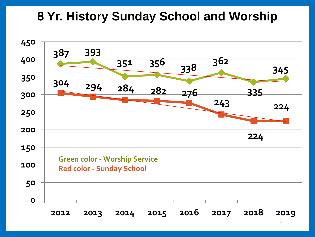#### **8 Yr. History Sunday School and Worship**

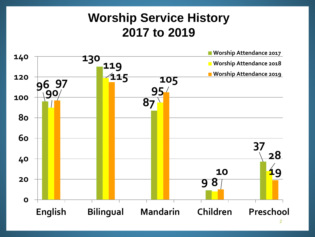#### **Worship Service History 2017 to 2019**

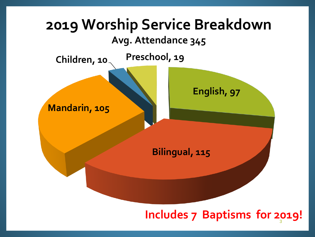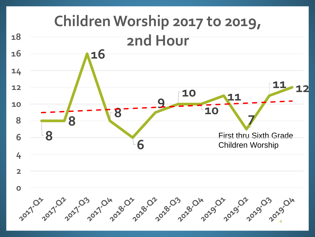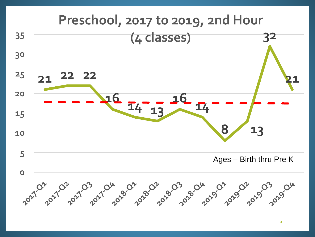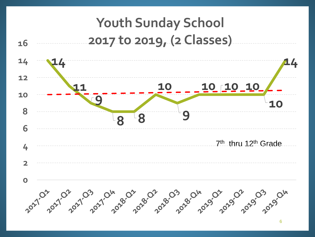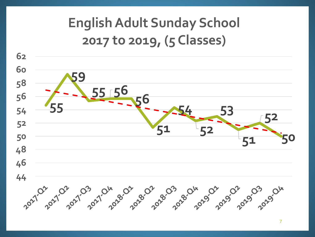## **English Adult Sunday School 2017 to 2019, (5 Classes)**

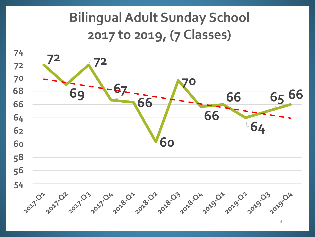## **Bilingual Adult Sunday School 2017 to 2019, (7 Classes)**

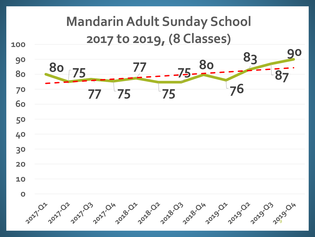